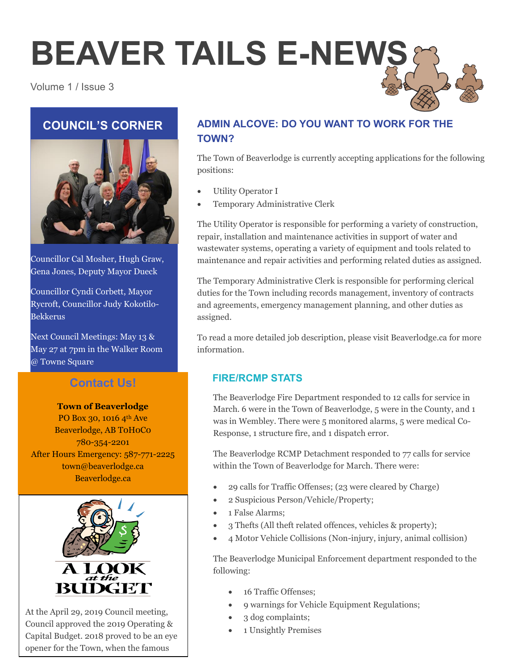# **BEAVER TAILS E-NEWS**

### Volume 1 / Issue 3

## **COUNCIL'S CORNER**



Councillor Cal Mosher, Hugh Graw, Gena Jones, Deputy Mayor Dueck

Councillor Cyndi Corbett, Mayor Rycroft, Councillor Judy Kokotilo-Bekkerus

Next Council Meetings: May 13 & May 27 at 7pm in the Walker Room @ Towne Square

## **Contact Us!**

## **Town of Beaverlodge**

PO Box 30, 1016 4th Ave Beaverlodge, AB T0H0C0 780-354-2201 After Hours Emergency: 587-771-2225 town@beaverlodge.ca Beaverlodge.ca





At the April 29, 2019 Council meeting, Council approved the 2019 Operating & Capital Budget. 2018 proved to be an eye opener for the Town, when the famous

## **ADMIN ALCOVE: DO YOU WANT TO WORK FOR THE TOWN?**

The Town of Beaverlodge is currently accepting applications for the following positions:

- Utility Operator I
- Temporary Administrative Clerk

The Utility Operator is responsible for performing a variety of construction, repair, installation and maintenance activities in support of water and wastewater systems, operating a variety of equipment and tools related to maintenance and repair activities and performing related duties as assigned.

The Temporary Administrative Clerk is responsible for performing clerical duties for the Town including records management, inventory of contracts and agreements, emergency management planning, and other duties as assigned.

To read a more detailed job description, please visit Beaverlodge.ca for more information.

## **FIRE/RCMP STATS**

The Beaverlodge Fire Department responded to 12 calls for service in March. 6 were in the Town of Beaverlodge, 5 were in the County, and 1 was in Wembley. There were 5 monitored alarms, 5 were medical Co-Response, 1 structure fire, and 1 dispatch error.

The Beaverlodge RCMP Detachment responded to 77 calls for service within the Town of Beaverlodge for March. There were:

- 29 calls for Traffic Offenses; (23 were cleared by Charge)
- 2 Suspicious Person/Vehicle/Property;
- 1 False Alarms;
- 3 Thefts (All theft related offences, vehicles & property);
- 4 Motor Vehicle Collisions (Non-injury, injury, animal collision)

The Beaverlodge Municipal Enforcement department responded to the following:

- 16 Traffic Offenses:
- 9 warnings for Vehicle Equipment Regulations;
- 3 dog complaints;
- 1 Unsightly Premises